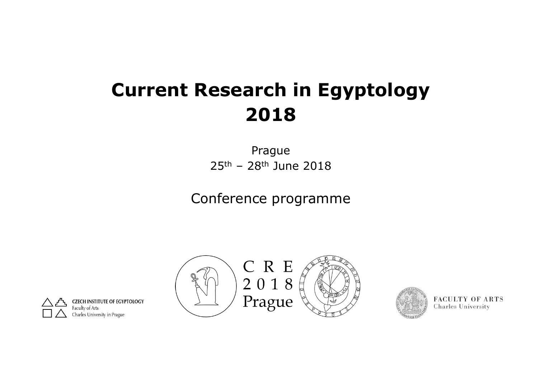# **Current Research in Egyptology 2018**

Prague 25th – 28th June 2018

Conference programme





**FACULTY OF ARTS Charles University** 

**INSTITUTE OF EGYPTOLOGY** Charles University in Prague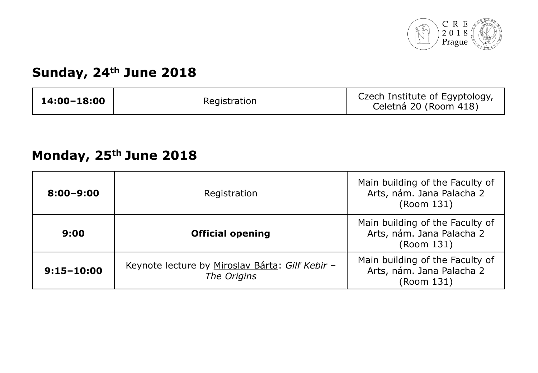

### **Sunday, 24th June 2018**

| 14:00-18:00 | Registration | Czech Institute of Egyptology,<br>Celetná 20 (Room 418) |
|-------------|--------------|---------------------------------------------------------|
|-------------|--------------|---------------------------------------------------------|

# **Monday, 25th June 2018**

| $8:00 - 9:00$  | Registration                                                   | Main building of the Faculty of<br>Arts, nám. Jana Palacha 2<br>(Room 131) |
|----------------|----------------------------------------------------------------|----------------------------------------------------------------------------|
| 9:00           | <b>Official opening</b>                                        | Main building of the Faculty of<br>Arts, nám. Jana Palacha 2<br>(Room 131) |
| $9:15 - 10:00$ | Keynote lecture by Miroslav Bárta: Gilf Kebir -<br>The Origins | Main building of the Faculty of<br>Arts, nám. Jana Palacha 2<br>(Room 131) |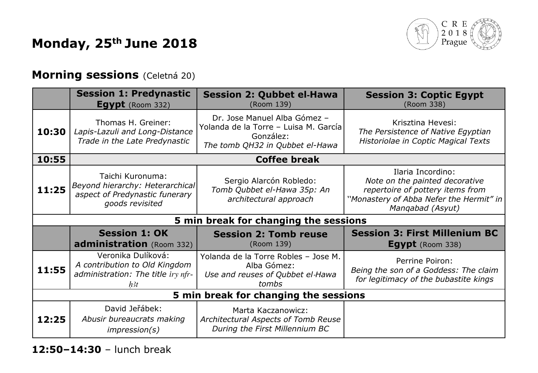# **Monday, 25th June 2018**



#### **Morning sessions** (Celetná 20)

|       | <b>Session 1: Predynastic</b><br>Egypt (Room 332)                                                        | <b>Session 2: Qubbet el-Hawa</b><br>(Room 139)                                                                        | <b>Session 3: Coptic Egypt</b><br>(Room 338)                                                                                                           |  |
|-------|----------------------------------------------------------------------------------------------------------|-----------------------------------------------------------------------------------------------------------------------|--------------------------------------------------------------------------------------------------------------------------------------------------------|--|
| 10:30 | Thomas H. Greiner:<br>Lapis-Lazuli and Long-Distance<br>Trade in the Late Predynastic                    | Dr. Jose Manuel Alba Gómez -<br>Yolanda de la Torre – Luisa M. García<br>González:<br>The tomb QH32 in Qubbet el-Hawa | Krisztina Hevesi:<br>The Persistence of Native Egyptian<br>Historiolae in Coptic Magical Texts                                                         |  |
| 10:55 |                                                                                                          | <b>Coffee break</b>                                                                                                   |                                                                                                                                                        |  |
| 11:25 | Taichi Kuronuma:<br>Beyond hierarchy: Heterarchical<br>aspect of Predynastic funerary<br>goods revisited | Sergio Alarcón Robledo:<br>Tomb Qubbet el-Hawa 35p: An<br>architectural approach                                      | Ilaria Incordino:<br>Note on the painted decorative<br>repertoire of pottery items from<br>"Monastery of Abba Nefer the Hermit" in<br>Mangabad (Asyut) |  |
|       |                                                                                                          | 5 min break for changing the sessions                                                                                 |                                                                                                                                                        |  |
|       | <b>Session 1: OK</b><br>administration (Room 332)                                                        | <b>Session 2: Tomb reuse</b><br>(Room 139)                                                                            | <b>Session 3: First Millenium BC</b><br>Egypt (Room 338)                                                                                               |  |
| 11:55 | Veronika Dulíková:<br>A contribution to Old Kingdom<br>administration: The title iry nfr-<br>h3t         | Yolanda de la Torre Robles - Jose M.<br>Alba Gómez:<br>Use and reuses of Qubbet el-Hawa<br>tombs                      | Perrine Poiron:<br>Being the son of a Goddess: The claim<br>for legitimacy of the bubastite kings                                                      |  |
|       | 5 min break for changing the sessions                                                                    |                                                                                                                       |                                                                                                                                                        |  |
| 12:25 | David Jeřábek:<br>Abusir bureaucrats making<br>impression(s)                                             | Marta Kaczanowicz:<br>Architectural Aspects of Tomb Reuse<br>During the First Millennium BC                           |                                                                                                                                                        |  |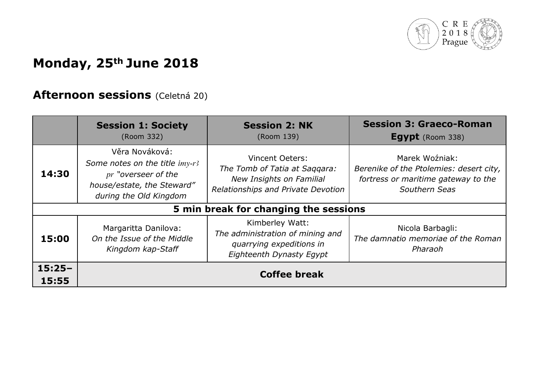

# **Monday, 25th June 2018**

### **Afternoon sessions** (Celetná 20)

|                   | <b>Session 1: Society</b><br>(Room 332)                                                                                         | <b>Session 2: NK</b><br>(Room 139)                                                                                 | <b>Session 3: Graeco-Roman</b><br><b>Egypt</b> (Room 338)                                                         |
|-------------------|---------------------------------------------------------------------------------------------------------------------------------|--------------------------------------------------------------------------------------------------------------------|-------------------------------------------------------------------------------------------------------------------|
| 14:30             | Věra Nováková:<br>Some notes on the title imy-r3<br>pr "overseer of the<br>house/estate, the Steward"<br>during the Old Kingdom | Vincent Oeters:<br>The Tomb of Tatia at Saggara:<br>New Insights on Familial<br>Relationships and Private Devotion | Marek Woźniak:<br>Berenike of the Ptolemies: desert city,<br>fortress or maritime gateway to the<br>Southern Seas |
|                   |                                                                                                                                 | 5 min break for changing the sessions                                                                              |                                                                                                                   |
| 15:00             | Margaritta Danilova:<br>On the Issue of the Middle<br>Kingdom kap-Staff                                                         | Kimberley Watt:<br>The administration of mining and<br>quarrying expeditions in<br>Eighteenth Dynasty Egypt        | Nicola Barbagli:<br>The damnatio memoriae of the Roman<br>Pharaoh                                                 |
| $15:25-$<br>15:55 |                                                                                                                                 | <b>Coffee break</b>                                                                                                |                                                                                                                   |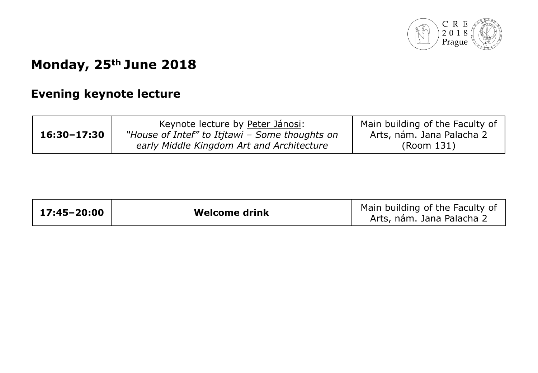

# **Monday, 25th June 2018**

### **Evening keynote lecture**

| $16:30 - 17:30$ | Keynote lecture by Peter Jánosi:<br>"House of Intef" to Itjtawi - Some thoughts on<br>early Middle Kingdom Art and Architecture | Main building of the Faculty of<br>Arts, nám. Jana Palacha 2<br>(Room 131) |
|-----------------|---------------------------------------------------------------------------------------------------------------------------------|----------------------------------------------------------------------------|
|                 |                                                                                                                                 |                                                                            |

| $17:45 - 20:00$ | <b>Welcome drink</b> | Main building of the Faculty of<br>Arts, nám. Jana Palacha 2 |
|-----------------|----------------------|--------------------------------------------------------------|
|                 |                      |                                                              |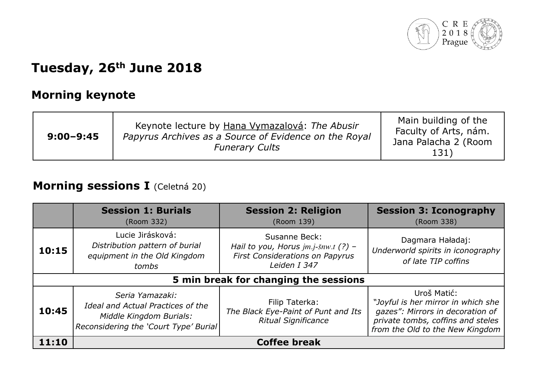

#### **Morning keynote**

| $9:00 - 9:45$ | Keynote lecture by Hana Vymazalová: The Abusir<br>Papyrus Archives as a Source of Evidence on the Royal<br><b>Funerary Cults</b> | Main building of the<br>Faculty of Arts, nám.<br>Jana Palacha 2 (Room<br>131) |
|---------------|----------------------------------------------------------------------------------------------------------------------------------|-------------------------------------------------------------------------------|
|---------------|----------------------------------------------------------------------------------------------------------------------------------|-------------------------------------------------------------------------------|

#### **Morning sessions I** (Celetná 20)

|       | <b>Session 1: Burials</b><br>(Room 332)                                                                                  | <b>Session 2: Religion</b><br>(Room 139)                                                                | <b>Session 3: Iconography</b><br>(Room 338)                                                                                                                   |
|-------|--------------------------------------------------------------------------------------------------------------------------|---------------------------------------------------------------------------------------------------------|---------------------------------------------------------------------------------------------------------------------------------------------------------------|
| 10:15 | Lucie Jirásková:<br>Distribution pattern of burial<br>equipment in the Old Kingdom<br>tombs                              | Susanne Beck:<br>Hail to you, Horus jm.j-šnw.t (?) -<br>First Considerations on Papyrus<br>Leiden I 347 | Dagmara Haładaj:<br>Underworld spirits in iconography<br>of late TIP coffins                                                                                  |
|       |                                                                                                                          | 5 min break for changing the sessions                                                                   |                                                                                                                                                               |
| 10:45 | Seria Yamazaki:<br>Ideal and Actual Practices of the<br>Middle Kingdom Burials:<br>Reconsidering the 'Court Type' Burial | Filip Taterka:<br>The Black Eye-Paint of Punt and Its<br><b>Ritual Significance</b>                     | Uroš Matić:<br>"Joyful is her mirror in which she<br>gazes": Mirrors in decoration of<br>private tombs, coffins and steles<br>from the Old to the New Kingdom |
| 11:10 |                                                                                                                          | <b>Coffee break</b>                                                                                     |                                                                                                                                                               |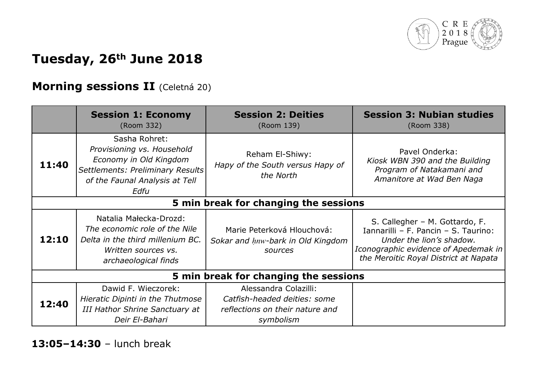

#### **Morning sessions II** (Celetná 20)

|       | <b>Session 1: Economy</b><br>(Room 332)                                                                                                             | <b>Session 2: Deities</b><br>(Room 139)                                                               | <b>Session 3: Nubian studies</b><br>(Room 338)                                                                                                                                      |  |
|-------|-----------------------------------------------------------------------------------------------------------------------------------------------------|-------------------------------------------------------------------------------------------------------|-------------------------------------------------------------------------------------------------------------------------------------------------------------------------------------|--|
| 11:40 | Sasha Rohret:<br>Provisioning vs. Household<br>Economy in Old Kingdom<br>Settlements: Preliminary Results<br>of the Faunal Analysis at Tell<br>Edfu | Reham El-Shiwy:<br>Hapy of the South versus Hapy of<br>the North                                      | Pavel Onderka:<br>Kiosk WBN 390 and the Building<br>Program of Natakamani and<br>Amanitore at Wad Ben Naga                                                                          |  |
|       | 5 min break for changing the sessions                                                                                                               |                                                                                                       |                                                                                                                                                                                     |  |
| 12:10 | Natalia Małecka-Drozd:<br>The economic role of the Nile<br>Delta in the third millenium BC.<br>Written sources vs.<br>archaeological finds          | Marie Peterková Hlouchová:<br>Sokar and hnw-bark in Old Kingdom<br>sources                            | S. Callegher - M. Gottardo, F.<br>Iannarilli - F. Pancin - S. Taurino:<br>Under the lion's shadow.<br>Iconographic evidence of Apedemak in<br>the Meroitic Royal District at Napata |  |
|       | 5 min break for changing the sessions                                                                                                               |                                                                                                       |                                                                                                                                                                                     |  |
| 12:40 | Dawid F. Wieczorek:<br>Hieratic Dipinti in the Thutmose<br><b>III Hathor Shrine Sanctuary at</b><br>Deir El-Bahari                                  | Alessandra Colazilli:<br>Catfish-headed deities: some<br>reflections on their nature and<br>symbolism |                                                                                                                                                                                     |  |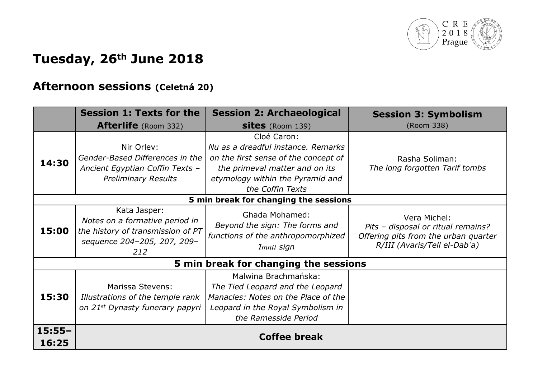

#### **Afternoon sessions (Celetná 20)**

|                   | <b>Session 1: Texts for the</b>                                                                                           | <b>Session 2: Archaeological</b>                                                                                                                                                    | <b>Session 3: Symbolism</b>                                                                                                |
|-------------------|---------------------------------------------------------------------------------------------------------------------------|-------------------------------------------------------------------------------------------------------------------------------------------------------------------------------------|----------------------------------------------------------------------------------------------------------------------------|
|                   | Afterlife (Room 332)                                                                                                      | <b>sites</b> (Room 139)                                                                                                                                                             | (Room 338)                                                                                                                 |
| 14:30             | Nir Orlev:<br>Gender-Based Differences in the<br>Ancient Egyptian Coffin Texts -<br><b>Preliminary Results</b>            | Cloé Caron:<br>Nu as a dreadful instance. Remarks<br>on the first sense of the concept of<br>the primeval matter and on its<br>etymology within the Pyramid and<br>the Coffin Texts | Rasha Soliman:<br>The long forgotten Tarif tombs                                                                           |
|                   |                                                                                                                           | 5 min break for changing the sessions                                                                                                                                               |                                                                                                                            |
| 15:00             | Kata Jasper:<br>Notes on a formative period in<br>the history of transmission of PT<br>sequence 204-205, 207, 209-<br>212 | Ghada Mohamed:<br>Beyond the sign: The forms and<br>functions of the anthropomorphized<br>Imntt sign                                                                                | Vera Michel:<br>Pits - disposal or ritual remains?<br>Offering pits from the urban quarter<br>R/III (Avaris/Tell el-Dab'a) |
|                   |                                                                                                                           | 5 min break for changing the sessions                                                                                                                                               |                                                                                                                            |
| 15:30             | Marissa Stevens:<br>Illustrations of the temple rank<br>on 21 <sup>st</sup> Dynasty funerary papyri                       | Malwina Brachmańska:<br>The Tied Leopard and the Leopard<br>Manacles: Notes on the Place of the<br>Leopard in the Royal Symbolism in<br>the Ramesside Period                        |                                                                                                                            |
| $15:55-$<br>16:25 |                                                                                                                           | <b>Coffee break</b>                                                                                                                                                                 |                                                                                                                            |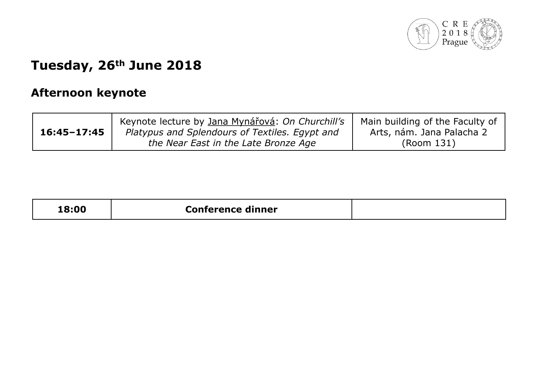

### **Afternoon keynote**

|                 | Keynote lecture by Jana Mynářová: On Churchill's | Main building of the Faculty of |
|-----------------|--------------------------------------------------|---------------------------------|
| $16:45 - 17:45$ | Platypus and Splendours of Textiles. Egypt and   | Arts, nám. Jana Palacha 2       |
|                 | the Near East in the Late Bronze Age             | (Room 131)                      |

| <b>8:00!</b><br>Conference dinner |  |
|-----------------------------------|--|
|-----------------------------------|--|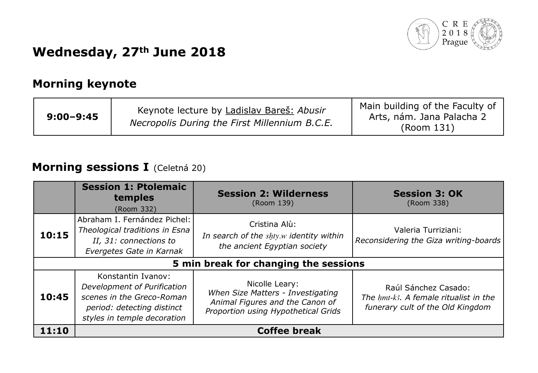

### **Wednesday, 27th June 2018**

#### **Morning keynote**

| $9:00 - 9:45$ | Keynote lecture by Ladislav Bareš: Abusir<br>Necropolis During the First Millennium B.C.E. | Main building of the Faculty of<br>Arts, nám. Jana Palacha 2<br>(Room 131) |
|---------------|--------------------------------------------------------------------------------------------|----------------------------------------------------------------------------|
|---------------|--------------------------------------------------------------------------------------------|----------------------------------------------------------------------------|

#### **Morning sessions I** (Celetná 20)

|       | <b>Session 1: Ptolemaic</b><br>temples<br>(Room 332)                                                                                        | <b>Session 2: Wilderness</b><br>(Room 139)                                                                                    | <b>Session 3: OK</b><br>(Room 338)                                                                |  |
|-------|---------------------------------------------------------------------------------------------------------------------------------------------|-------------------------------------------------------------------------------------------------------------------------------|---------------------------------------------------------------------------------------------------|--|
| 10:15 | Abraham I. Fernández Pichel:<br>Theological traditions in Esna<br>II, 31: connections to<br>Evergetes Gate in Karnak                        | Cristina Alù:<br>In search of the shty.w identity within<br>the ancient Egyptian society                                      | Valeria Turriziani:<br>Reconsidering the Giza writing-boards                                      |  |
|       | 5 min break for changing the sessions                                                                                                       |                                                                                                                               |                                                                                                   |  |
| 10:45 | Konstantin Ivanov:<br>Development of Purification<br>scenes in the Greco-Roman<br>period: detecting distinct<br>styles in temple decoration | Nicolle Leary:<br>When Size Matters - Investigating<br>Animal Figures and the Canon of<br>Proportion using Hypothetical Grids | Raúl Sánchez Casado:<br>The hmt-k3. A female ritualist in the<br>funerary cult of the Old Kingdom |  |
| 11:10 | <b>Coffee break</b>                                                                                                                         |                                                                                                                               |                                                                                                   |  |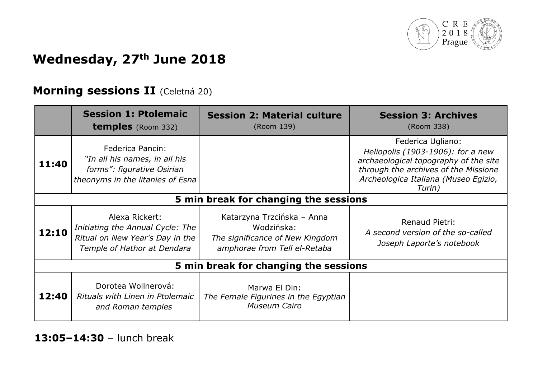

# **Wednesday, 27th June 2018**

#### **Morning sessions II** (Celetná 20)

|                                       | <b>Session 1: Ptolemaic</b><br><b>temples</b> (Room 332)                                                             | <b>Session 2: Material culture</b><br>(Room 139)                                                            | <b>Session 3: Archives</b><br>(Room 338)                                                                                                                                                  |
|---------------------------------------|----------------------------------------------------------------------------------------------------------------------|-------------------------------------------------------------------------------------------------------------|-------------------------------------------------------------------------------------------------------------------------------------------------------------------------------------------|
| 11:40                                 | Federica Pancin:<br>"In all his names, in all his<br>forms": figurative Osirian<br>theonyms in the litanies of Esna  |                                                                                                             | Federica Ugliano:<br>Heliopolis (1903-1906): for a new<br>archaeological topography of the site<br>through the archives of the Missione<br>Archeologica Italiana (Museo Egizio,<br>Turin) |
| 5 min break for changing the sessions |                                                                                                                      |                                                                                                             |                                                                                                                                                                                           |
| 12:10                                 | Alexa Rickert:<br>Initiating the Annual Cycle: The<br>Ritual on New Year's Day in the<br>Temple of Hathor at Dendara | Katarzyna Trzcińska – Anna<br>Wodzińska:<br>The significance of New Kingdom<br>amphorae from Tell el-Retaba | Renaud Pietri:<br>A second version of the so-called<br>Joseph Laporte's notebook                                                                                                          |
| 5 min break for changing the sessions |                                                                                                                      |                                                                                                             |                                                                                                                                                                                           |
| 12:40                                 | Dorotea Wollnerová:<br>Rituals with Linen in Ptolemaic<br>and Roman temples                                          | Marwa El Din:<br>The Female Figurines in the Egyptian<br><b>Museum Cairo</b>                                |                                                                                                                                                                                           |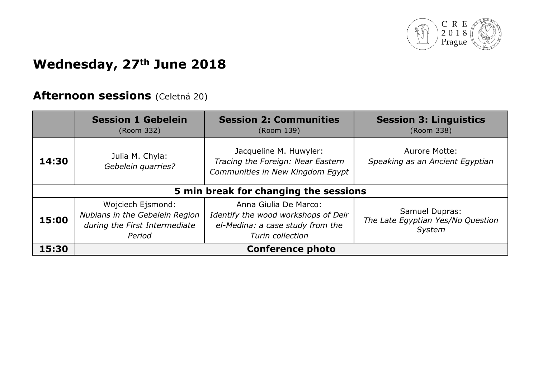

### **Wednesday, 27th June 2018**

#### **Afternoon sessions** (Celetná 20)

|                                       | <b>Session 1 Gebelein</b><br>(Room 332)                                                        | <b>Session 2: Communities</b><br>(Room 139)                                                                          | <b>Session 3: Linguistics</b><br>(Room 338)                   |
|---------------------------------------|------------------------------------------------------------------------------------------------|----------------------------------------------------------------------------------------------------------------------|---------------------------------------------------------------|
| 14:30                                 | Julia M. Chyla:<br>Gebelein quarries?                                                          | Jacqueline M. Huwyler:<br>Tracing the Foreign: Near Eastern<br>Communities in New Kingdom Egypt                      | Aurore Motte:<br>Speaking as an Ancient Egyptian              |
| 5 min break for changing the sessions |                                                                                                |                                                                                                                      |                                                               |
| 15:00                                 | Wojciech Ejsmond:<br>Nubians in the Gebelein Region<br>during the First Intermediate<br>Period | Anna Giulia De Marco:<br>Identify the wood workshops of Deir<br>el-Medina: a case study from the<br>Turin collection | Samuel Dupras:<br>The Late Egyptian Yes/No Question<br>System |
| 15:30                                 | <b>Conference photo</b>                                                                        |                                                                                                                      |                                                               |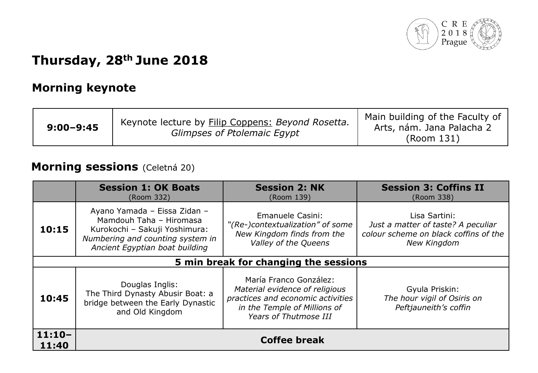

## **Thursday, 28th June 2018**

#### **Morning keynote**

| $9:00 - 9:45$ | Keynote lecture by Filip Coppens: Beyond Rosetta.<br>Glimpses of Ptolemaic Egypt | Main building of the Faculty of<br>Arts, nám. Jana Palacha 2<br>(Room 131) |
|---------------|----------------------------------------------------------------------------------|----------------------------------------------------------------------------|
|---------------|----------------------------------------------------------------------------------|----------------------------------------------------------------------------|

#### **Morning sessions** (Celetná 20)

|                   | <b>Session 1: OK Boats</b><br>(Room 332)                                                                                                                       | <b>Session 2: NK</b><br>(Room 139)                                                                                                                     | <b>Session 3: Coffins II</b><br>(Room 338)                                                                  |  |
|-------------------|----------------------------------------------------------------------------------------------------------------------------------------------------------------|--------------------------------------------------------------------------------------------------------------------------------------------------------|-------------------------------------------------------------------------------------------------------------|--|
| 10:15             | Ayano Yamada - Eissa Zidan -<br>Mamdouh Taha - Hiromasa<br>Kurokochi - Sakuji Yoshimura:<br>Numbering and counting system in<br>Ancient Egyptian boat building | Emanuele Casini:<br>"(Re-)contextualization" of some<br>New Kingdom finds from the<br>Valley of the Queens                                             | Lisa Sartini:<br>Just a matter of taste? A peculiar<br>colour scheme on black coffins of the<br>New Kingdom |  |
|                   | 5 min break for changing the sessions                                                                                                                          |                                                                                                                                                        |                                                                                                             |  |
| 10:45             | Douglas Inglis:<br>The Third Dynasty Abusir Boat: a<br>bridge between the Early Dynastic<br>and Old Kingdom                                                    | María Franco González:<br>Material evidence of religious<br>practices and economic activities<br>in the Temple of Millions of<br>Years of Thutmose III | Gyula Priskin:<br>The hour vigil of Osiris on<br>Peftjauneith's coffin                                      |  |
| $11:10-$<br>11:40 | <b>Coffee break</b>                                                                                                                                            |                                                                                                                                                        |                                                                                                             |  |